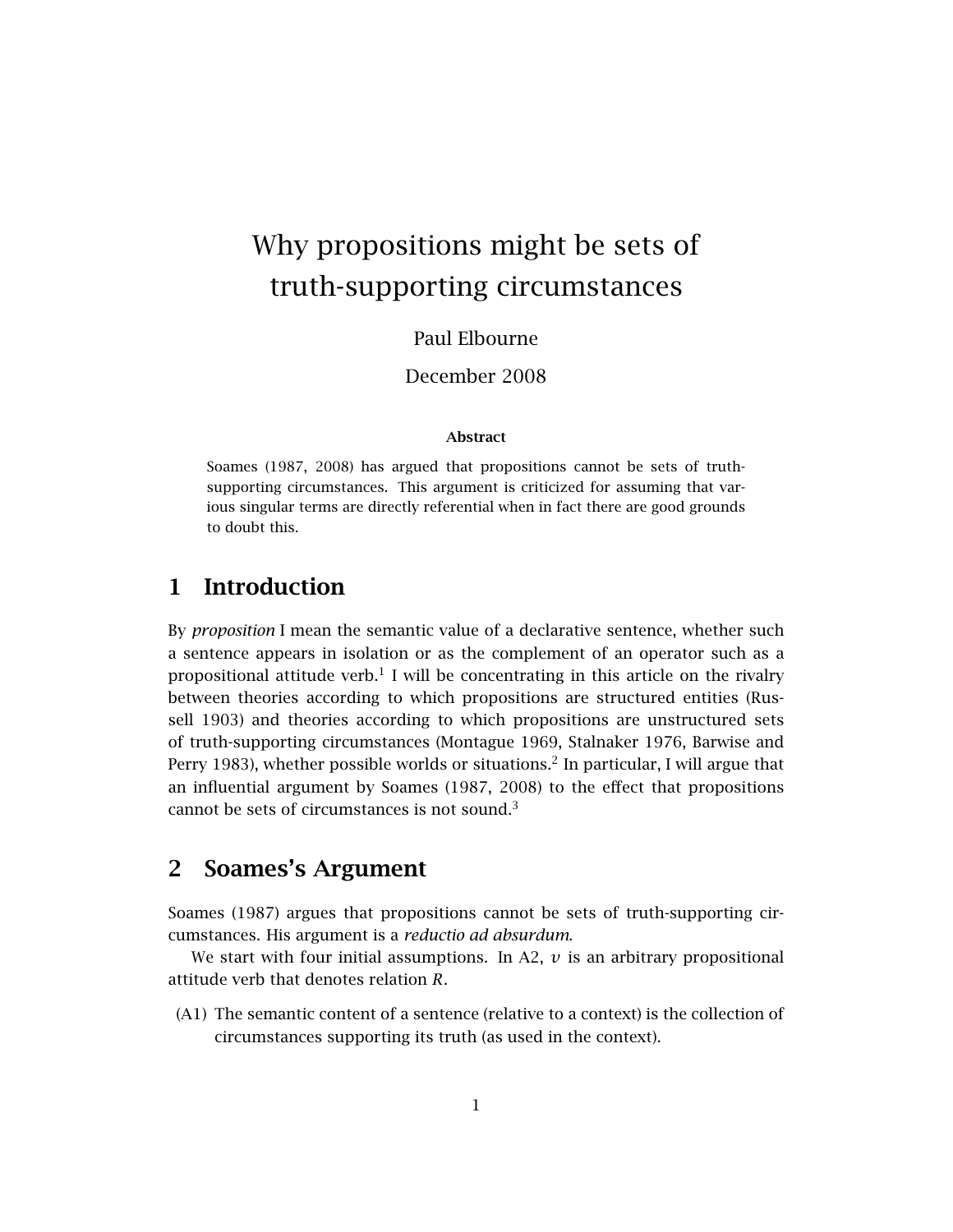# Why propositions might be sets of truth-supporting circumstances

### Paul Elbourne

December 2008

#### Abstract

Soames (1987, 2008) has argued that propositions cannot be sets of truthsupporting circumstances. This argument is criticized for assuming that various singular terms are directly referential when in fact there are good grounds to doubt this.

# 1 Introduction

By *proposition* I mean the semantic value of a declarative sentence, whether such a sentence appears in isolation or as the complement of an operator such as a propositional attitude verb.<sup>1</sup> I will be concentrating in this article on the rivalry between theories according to which propositions are structured entities (Russell 1903) and theories according to which propositions are unstructured sets of truth-supporting circumstances (Montague 1969, Stalnaker 1976, Barwise and Perry 1983), whether possible worlds or situations.<sup>2</sup> In particular, I will argue that an influential argument by Soames (1987, 2008) to the effect that propositions cannot be sets of circumstances is not sound. $3$ 

# 2 Soames's Argument

Soames (1987) argues that propositions cannot be sets of truth-supporting circumstances. His argument is a *reductio ad absurdum*.

We start with four initial assumptions. In A2,  $\nu$  is an arbitrary propositional attitude verb that denotes relation *R*.

(A1) The semantic content of a sentence (relative to a context) is the collection of circumstances supporting its truth (as used in the context).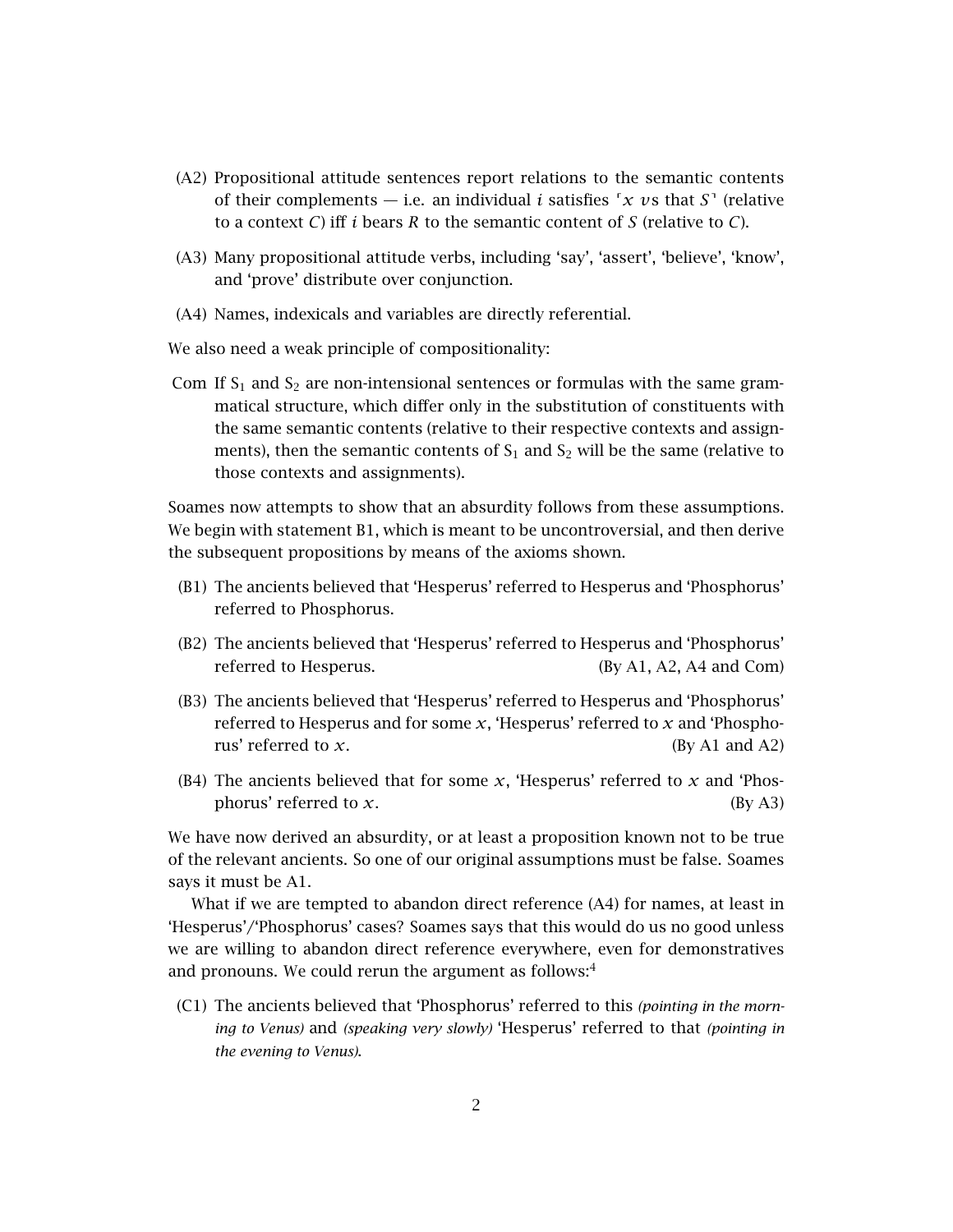- (A2) Propositional attitude sentences report relations to the semantic contents of their complements — i.e. an individual *i* satisfies  $\int x \, v s$  that *S*<sup> $\prime$ </sup> (relative to a context *C*) iff *i* bears *R* to the semantic content of *S* (relative to *C*).
- (A3) Many propositional attitude verbs, including 'say', 'assert', 'believe', 'know', and 'prove' distribute over conjunction.
- (A4) Names, indexicals and variables are directly referential.

We also need a weak principle of compositionality:

Com If  $S_1$  and  $S_2$  are non-intensional sentences or formulas with the same grammatical structure, which differ only in the substitution of constituents with the same semantic contents (relative to their respective contexts and assignments), then the semantic contents of  $S_1$  and  $S_2$  will be the same (relative to those contexts and assignments).

Soames now attempts to show that an absurdity follows from these assumptions. We begin with statement B1, which is meant to be uncontroversial, and then derive the subsequent propositions by means of the axioms shown.

- (B1) The ancients believed that 'Hesperus' referred to Hesperus and 'Phosphorus' referred to Phosphorus.
- (B2) The ancients believed that 'Hesperus' referred to Hesperus and 'Phosphorus' referred to Hesperus. (By A1, A2, A4 and Com)
- (B3) The ancients believed that 'Hesperus' referred to Hesperus and 'Phosphorus' referred to Hesperus and for some *x*, 'Hesperus' referred to *x* and 'Phosphorus' referred to *x*. (By A1 and A2)
- (B4) The ancients believed that for some *x*, 'Hesperus' referred to *x* and 'Phosphorus' referred to  $x$ . (By A3)

We have now derived an absurdity, or at least a proposition known not to be true of the relevant ancients. So one of our original assumptions must be false. Soames says it must be A1.

What if we are tempted to abandon direct reference (A4) for names, at least in 'Hesperus'/'Phosphorus' cases? Soames says that this would do us no good unless we are willing to abandon direct reference everywhere, even for demonstratives and pronouns. We could rerun the argument as follows: $4$ 

(C1) The ancients believed that 'Phosphorus' referred to this *(pointing in the morning to Venus)* and *(speaking very slowly)* 'Hesperus' referred to that *(pointing in the evening to Venus)*.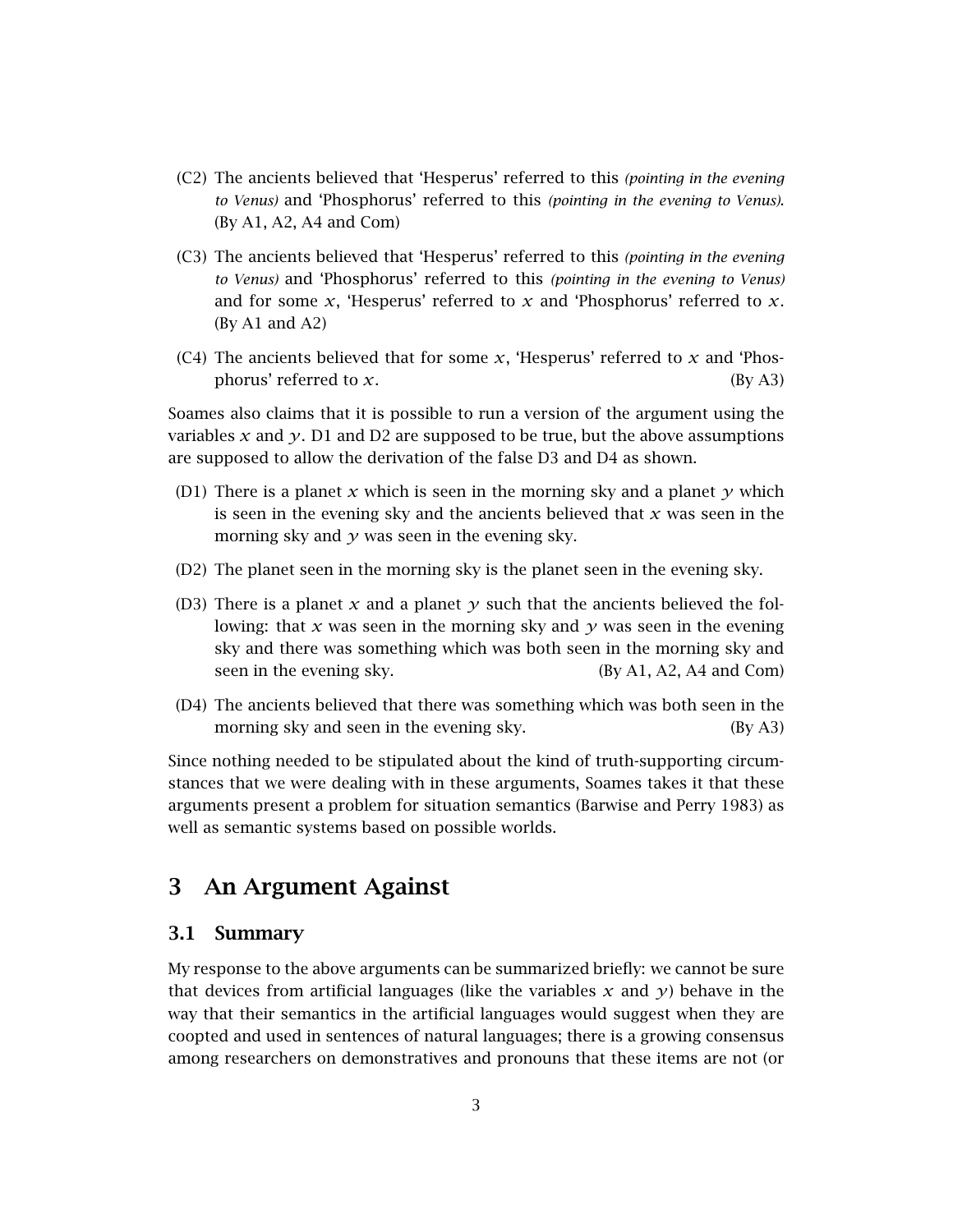- (C2) The ancients believed that 'Hesperus' referred to this *(pointing in the evening to Venus)* and 'Phosphorus' referred to this *(pointing in the evening to Venus)*. (By A1, A2, A4 and Com)
- (C3) The ancients believed that 'Hesperus' referred to this *(pointing in the evening to Venus)* and 'Phosphorus' referred to this *(pointing in the evening to Venus)* and for some *x*, 'Hesperus' referred to *x* and 'Phosphorus' referred to *x*. (By A1 and A2)
- (C4) The ancients believed that for some  $x$ , 'Hesperus' referred to  $x$  and 'Phosphorus' referred to  $x$ . (By A3)

Soames also claims that it is possible to run a version of the argument using the variables *x* and *y*. D1 and D2 are supposed to be true, but the above assumptions are supposed to allow the derivation of the false D3 and D4 as shown.

- (D1) There is a planet *x* which is seen in the morning sky and a planet  $\gamma$  which is seen in the evening sky and the ancients believed that *x* was seen in the morning sky and  $y$  was seen in the evening sky.
- (D2) The planet seen in the morning sky is the planet seen in the evening sky.
- (D3) There is a planet *x* and a planet *y* such that the ancients believed the following: that *x* was seen in the morning sky and *y* was seen in the evening sky and there was something which was both seen in the morning sky and seen in the evening sky. (By A1, A2, A4 and Com)
- (D4) The ancients believed that there was something which was both seen in the morning sky and seen in the evening sky. (By A3)

Since nothing needed to be stipulated about the kind of truth-supporting circumstances that we were dealing with in these arguments, Soames takes it that these arguments present a problem for situation semantics (Barwise and Perry 1983) as well as semantic systems based on possible worlds.

## 3 An Argument Against

#### 3.1 Summary

My response to the above arguments can be summarized briefly: we cannot be sure that devices from artificial languages (like the variables  $x$  and  $y$ ) behave in the way that their semantics in the artificial languages would suggest when they are coopted and used in sentences of natural languages; there is a growing consensus among researchers on demonstratives and pronouns that these items are not (or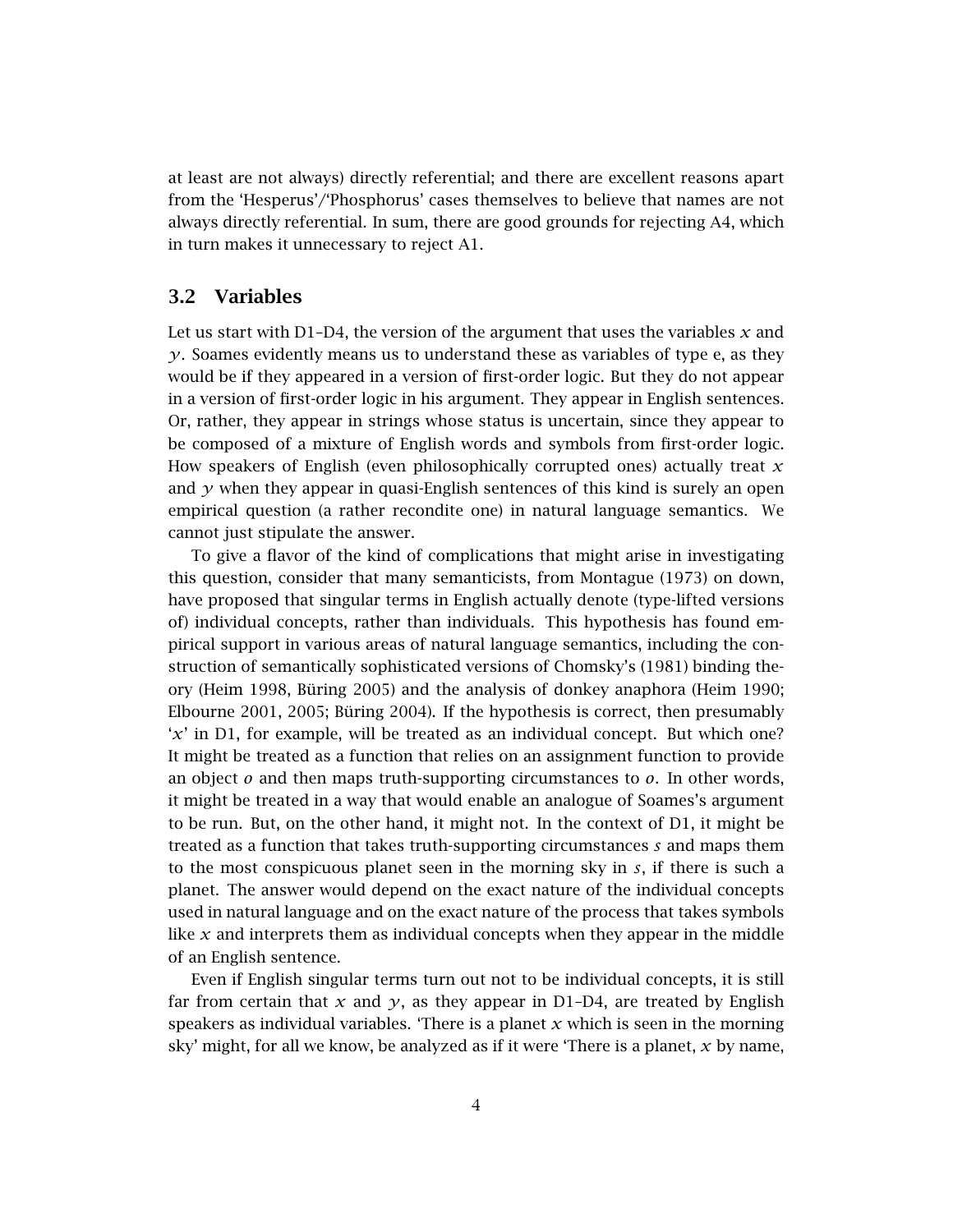at least are not always) directly referential; and there are excellent reasons apart from the 'Hesperus'/'Phosphorus' cases themselves to believe that names are not always directly referential. In sum, there are good grounds for rejecting A4, which in turn makes it unnecessary to reject A1.

#### 3.2 Variables

Let us start with D1–D4, the version of the argument that uses the variables *x* and *y*. Soames evidently means us to understand these as variables of type e, as they would be if they appeared in a version of first-order logic. But they do not appear in a version of first-order logic in his argument. They appear in English sentences. Or, rather, they appear in strings whose status is uncertain, since they appear to be composed of a mixture of English words and symbols from first-order logic. How speakers of English (even philosophically corrupted ones) actually treat *x* and  $\gamma$  when they appear in quasi-English sentences of this kind is surely an open empirical question (a rather recondite one) in natural language semantics. We cannot just stipulate the answer.

To give a flavor of the kind of complications that might arise in investigating this question, consider that many semanticists, from Montague (1973) on down, have proposed that singular terms in English actually denote (type-lifted versions of) individual concepts, rather than individuals. This hypothesis has found empirical support in various areas of natural language semantics, including the construction of semantically sophisticated versions of Chomsky's (1981) binding theory (Heim 1998, Büring 2005) and the analysis of donkey anaphora (Heim 1990; Elbourne 2001, 2005; Büring 2004). If the hypothesis is correct, then presumably '*x*' in D1, for example, will be treated as an individual concept. But which one? It might be treated as a function that relies on an assignment function to provide an object *o* and then maps truth-supporting circumstances to *o*. In other words, it might be treated in a way that would enable an analogue of Soames's argument to be run. But, on the other hand, it might not. In the context of D1, it might be treated as a function that takes truth-supporting circumstances *s* and maps them to the most conspicuous planet seen in the morning sky in *s*, if there is such a planet. The answer would depend on the exact nature of the individual concepts used in natural language and on the exact nature of the process that takes symbols like *x* and interprets them as individual concepts when they appear in the middle of an English sentence.

Even if English singular terms turn out not to be individual concepts, it is still far from certain that  $x$  and  $y$ , as they appear in D1–D4, are treated by English speakers as individual variables. 'There is a planet *x* which is seen in the morning sky' might, for all we know, be analyzed as if it were 'There is a planet, *x* by name,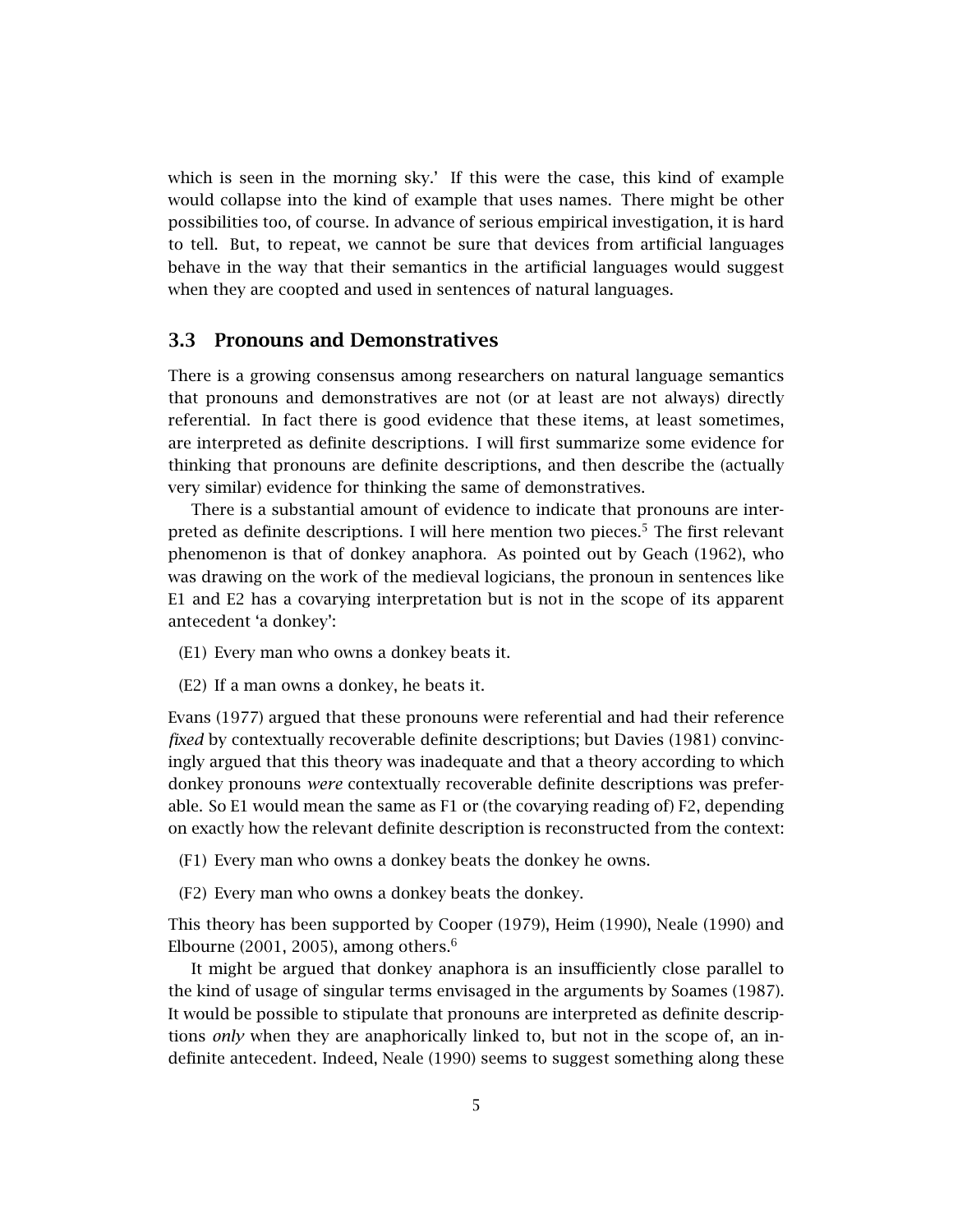which is seen in the morning sky.' If this were the case, this kind of example would collapse into the kind of example that uses names. There might be other possibilities too, of course. In advance of serious empirical investigation, it is hard to tell. But, to repeat, we cannot be sure that devices from artificial languages behave in the way that their semantics in the artificial languages would suggest when they are coopted and used in sentences of natural languages.

#### 3.3 Pronouns and Demonstratives

There is a growing consensus among researchers on natural language semantics that pronouns and demonstratives are not (or at least are not always) directly referential. In fact there is good evidence that these items, at least sometimes, are interpreted as definite descriptions. I will first summarize some evidence for thinking that pronouns are definite descriptions, and then describe the (actually very similar) evidence for thinking the same of demonstratives.

There is a substantial amount of evidence to indicate that pronouns are interpreted as definite descriptions. I will here mention two pieces.<sup>5</sup> The first relevant phenomenon is that of donkey anaphora. As pointed out by Geach (1962), who was drawing on the work of the medieval logicians, the pronoun in sentences like E1 and E2 has a covarying interpretation but is not in the scope of its apparent antecedent 'a donkey':

- (E1) Every man who owns a donkey beats it.
- (E2) If a man owns a donkey, he beats it.

Evans (1977) argued that these pronouns were referential and had their reference *fixed* by contextually recoverable definite descriptions; but Davies (1981) convincingly argued that this theory was inadequate and that a theory according to which donkey pronouns *were* contextually recoverable definite descriptions was preferable. So E1 would mean the same as F1 or (the covarying reading of) F2, depending on exactly how the relevant definite description is reconstructed from the context:

(F1) Every man who owns a donkey beats the donkey he owns.

(F2) Every man who owns a donkey beats the donkey.

This theory has been supported by Cooper (1979), Heim (1990), Neale (1990) and Elbourne (2001, 2005), among others.<sup>6</sup>

It might be argued that donkey anaphora is an insufficiently close parallel to the kind of usage of singular terms envisaged in the arguments by Soames (1987). It would be possible to stipulate that pronouns are interpreted as definite descriptions *only* when they are anaphorically linked to, but not in the scope of, an indefinite antecedent. Indeed, Neale (1990) seems to suggest something along these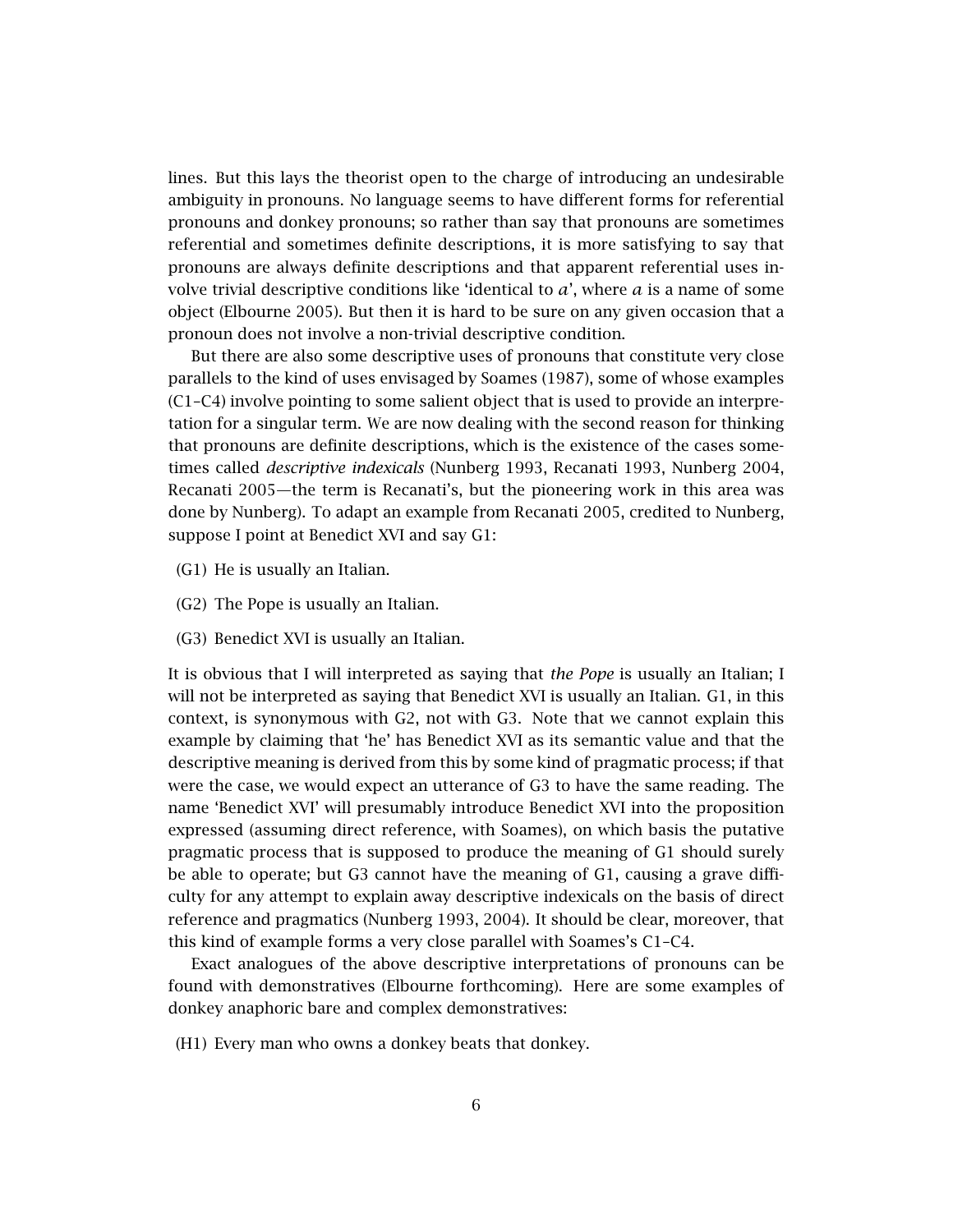lines. But this lays the theorist open to the charge of introducing an undesirable ambiguity in pronouns. No language seems to have different forms for referential pronouns and donkey pronouns; so rather than say that pronouns are sometimes referential and sometimes definite descriptions, it is more satisfying to say that pronouns are always definite descriptions and that apparent referential uses involve trivial descriptive conditions like 'identical to *a*', where *a* is a name of some object (Elbourne 2005). But then it is hard to be sure on any given occasion that a pronoun does not involve a non-trivial descriptive condition.

But there are also some descriptive uses of pronouns that constitute very close parallels to the kind of uses envisaged by Soames (1987), some of whose examples (C1–C4) involve pointing to some salient object that is used to provide an interpretation for a singular term. We are now dealing with the second reason for thinking that pronouns are definite descriptions, which is the existence of the cases sometimes called *descriptive indexicals* (Nunberg 1993, Recanati 1993, Nunberg 2004, Recanati 2005—the term is Recanati's, but the pioneering work in this area was done by Nunberg). To adapt an example from Recanati 2005, credited to Nunberg, suppose I point at Benedict XVI and say G1:

- (G1) He is usually an Italian.
- (G2) The Pope is usually an Italian.
- (G3) Benedict XVI is usually an Italian.

It is obvious that I will interpreted as saying that *the Pope* is usually an Italian; I will not be interpreted as saying that Benedict XVI is usually an Italian. G1, in this context, is synonymous with G2, not with G3. Note that we cannot explain this example by claiming that 'he' has Benedict XVI as its semantic value and that the descriptive meaning is derived from this by some kind of pragmatic process; if that were the case, we would expect an utterance of G3 to have the same reading. The name 'Benedict XVI' will presumably introduce Benedict XVI into the proposition expressed (assuming direct reference, with Soames), on which basis the putative pragmatic process that is supposed to produce the meaning of G1 should surely be able to operate; but G3 cannot have the meaning of G1, causing a grave difficulty for any attempt to explain away descriptive indexicals on the basis of direct reference and pragmatics (Nunberg 1993, 2004). It should be clear, moreover, that this kind of example forms a very close parallel with Soames's C1–C4.

Exact analogues of the above descriptive interpretations of pronouns can be found with demonstratives (Elbourne forthcoming). Here are some examples of donkey anaphoric bare and complex demonstratives:

(H1) Every man who owns a donkey beats that donkey.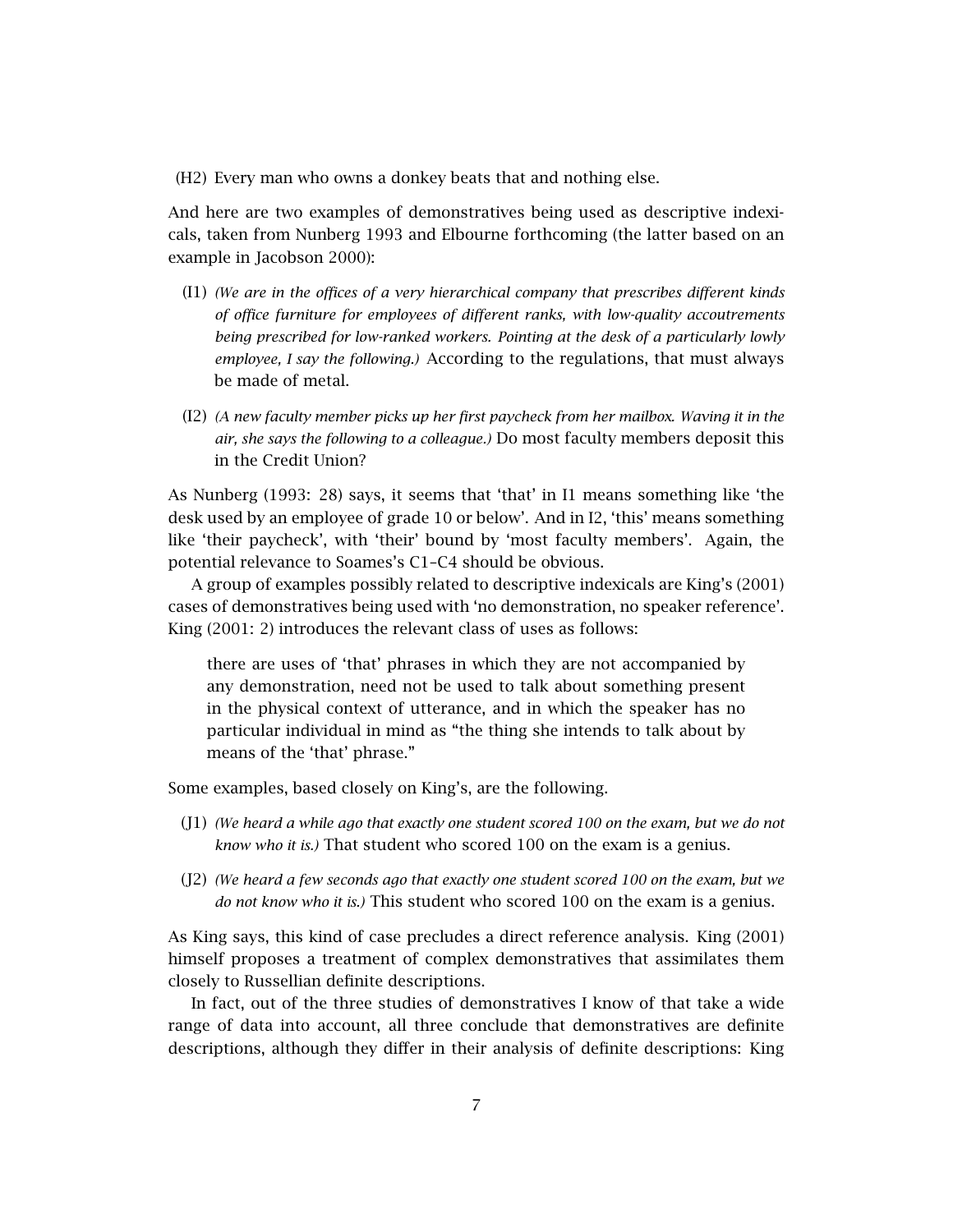(H2) Every man who owns a donkey beats that and nothing else.

And here are two examples of demonstratives being used as descriptive indexicals, taken from Nunberg 1993 and Elbourne forthcoming (the latter based on an example in Jacobson 2000):

- (I1) *(We are in the offices of a very hierarchical company that prescribes different kinds of office furniture for employees of different ranks, with low-quality accoutrements being prescribed for low-ranked workers. Pointing at the desk of a particularly lowly employee, I say the following.)* According to the regulations, that must always be made of metal.
- (I2) *(A new faculty member picks up her first paycheck from her mailbox. Waving it in the air, she says the following to a colleague.)* Do most faculty members deposit this in the Credit Union?

As Nunberg (1993: 28) says, it seems that 'that' in I1 means something like 'the desk used by an employee of grade 10 or below'. And in I2, 'this' means something like 'their paycheck', with 'their' bound by 'most faculty members'. Again, the potential relevance to Soames's C1–C4 should be obvious.

A group of examples possibly related to descriptive indexicals are King's (2001) cases of demonstratives being used with 'no demonstration, no speaker reference'. King (2001: 2) introduces the relevant class of uses as follows:

there are uses of 'that' phrases in which they are not accompanied by any demonstration, need not be used to talk about something present in the physical context of utterance, and in which the speaker has no particular individual in mind as "the thing she intends to talk about by means of the 'that' phrase."

Some examples, based closely on King's, are the following.

- (J1) *(We heard a while ago that exactly one student scored 100 on the exam, but we do not know who it is.)* That student who scored 100 on the exam is a genius.
- (J2) *(We heard a few seconds ago that exactly one student scored 100 on the exam, but we do not know who it is.)* This student who scored 100 on the exam is a genius.

As King says, this kind of case precludes a direct reference analysis. King (2001) himself proposes a treatment of complex demonstratives that assimilates them closely to Russellian definite descriptions.

In fact, out of the three studies of demonstratives I know of that take a wide range of data into account, all three conclude that demonstratives are definite descriptions, although they differ in their analysis of definite descriptions: King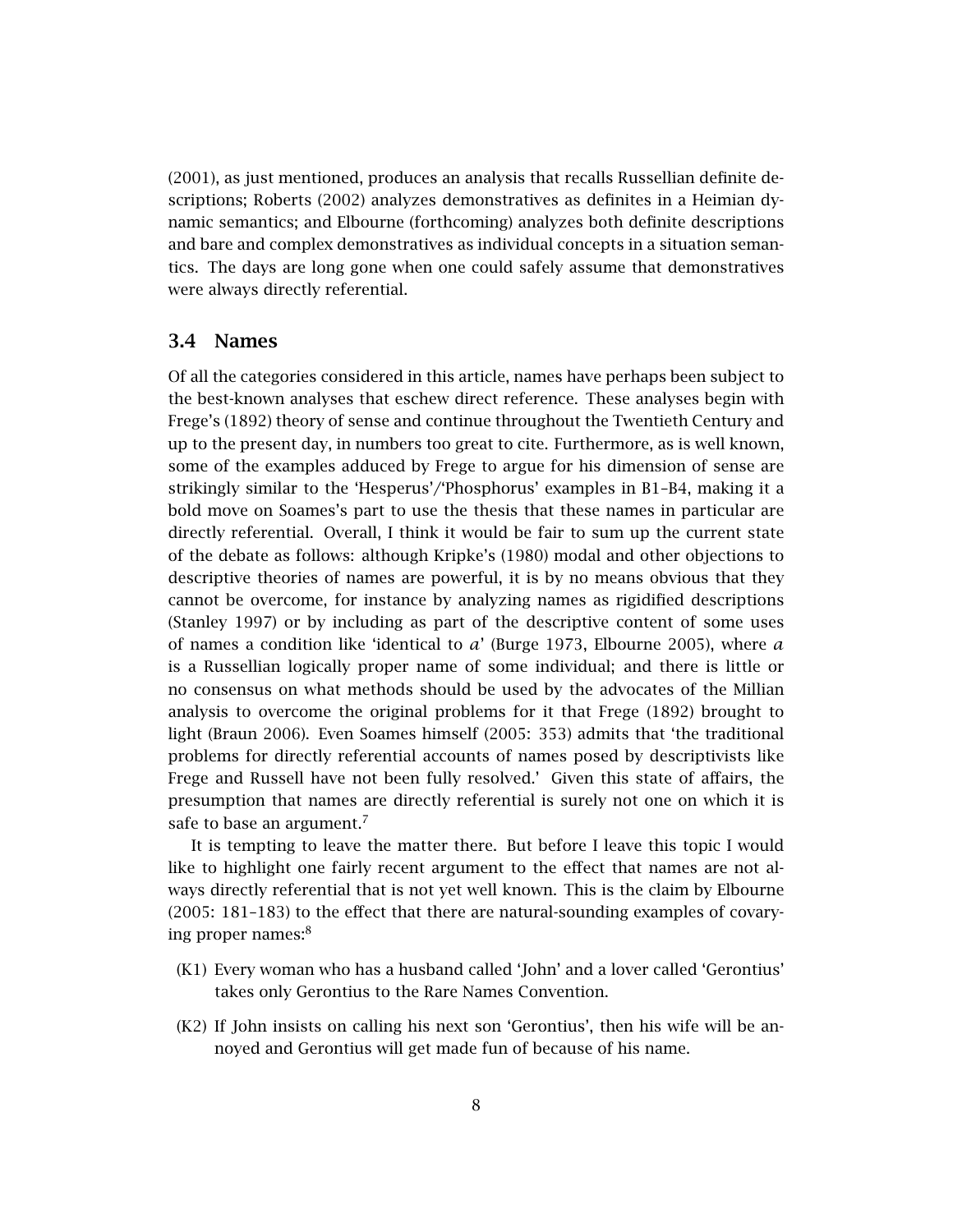(2001), as just mentioned, produces an analysis that recalls Russellian definite descriptions; Roberts (2002) analyzes demonstratives as definites in a Heimian dynamic semantics; and Elbourne (forthcoming) analyzes both definite descriptions and bare and complex demonstratives as individual concepts in a situation semantics. The days are long gone when one could safely assume that demonstratives were always directly referential.

#### 3.4 Names

Of all the categories considered in this article, names have perhaps been subject to the best-known analyses that eschew direct reference. These analyses begin with Frege's (1892) theory of sense and continue throughout the Twentieth Century and up to the present day, in numbers too great to cite. Furthermore, as is well known, some of the examples adduced by Frege to argue for his dimension of sense are strikingly similar to the 'Hesperus'/'Phosphorus' examples in B1–B4, making it a bold move on Soames's part to use the thesis that these names in particular are directly referential. Overall, I think it would be fair to sum up the current state of the debate as follows: although Kripke's (1980) modal and other objections to descriptive theories of names are powerful, it is by no means obvious that they cannot be overcome, for instance by analyzing names as rigidified descriptions (Stanley 1997) or by including as part of the descriptive content of some uses of names a condition like 'identical to *a*' (Burge 1973, Elbourne 2005), where *a* is a Russellian logically proper name of some individual; and there is little or no consensus on what methods should be used by the advocates of the Millian analysis to overcome the original problems for it that Frege (1892) brought to light (Braun 2006). Even Soames himself (2005: 353) admits that 'the traditional problems for directly referential accounts of names posed by descriptivists like Frege and Russell have not been fully resolved.' Given this state of affairs, the presumption that names are directly referential is surely not one on which it is safe to base an argument.<sup>7</sup>

It is tempting to leave the matter there. But before I leave this topic I would like to highlight one fairly recent argument to the effect that names are not always directly referential that is not yet well known. This is the claim by Elbourne (2005: 181–183) to the effect that there are natural-sounding examples of covarying proper names:<sup>8</sup>

- (K1) Every woman who has a husband called 'John' and a lover called 'Gerontius' takes only Gerontius to the Rare Names Convention.
- (K2) If John insists on calling his next son 'Gerontius', then his wife will be annoyed and Gerontius will get made fun of because of his name.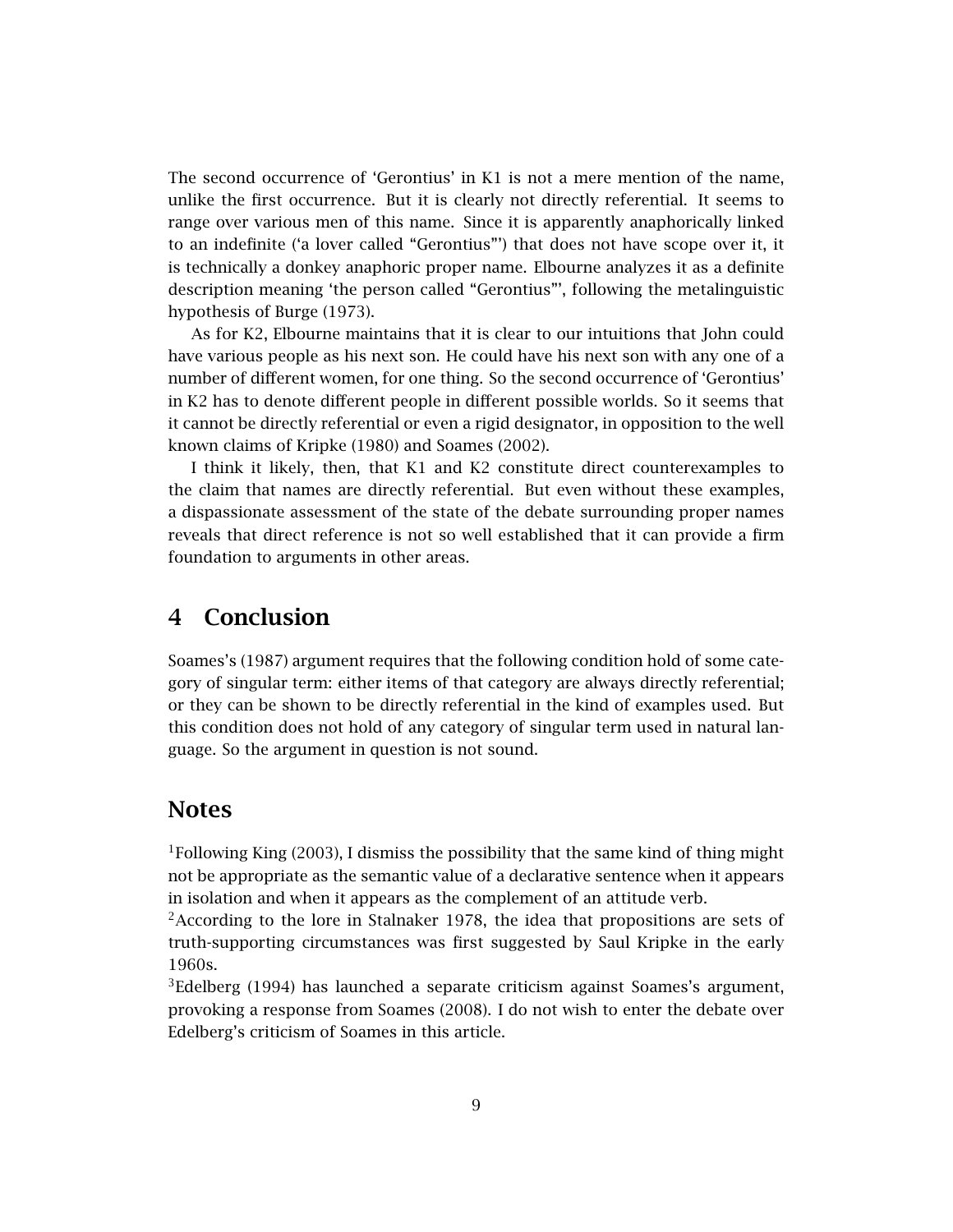The second occurrence of 'Gerontius' in K1 is not a mere mention of the name, unlike the first occurrence. But it is clearly not directly referential. It seems to range over various men of this name. Since it is apparently anaphorically linked to an indefinite ('a lover called "Gerontius"') that does not have scope over it, it is technically a donkey anaphoric proper name. Elbourne analyzes it as a definite description meaning 'the person called "Gerontius"', following the metalinguistic hypothesis of Burge (1973).

As for K2, Elbourne maintains that it is clear to our intuitions that John could have various people as his next son. He could have his next son with any one of a number of different women, for one thing. So the second occurrence of 'Gerontius' in K2 has to denote different people in different possible worlds. So it seems that it cannot be directly referential or even a rigid designator, in opposition to the well known claims of Kripke (1980) and Soames (2002).

I think it likely, then, that K1 and K2 constitute direct counterexamples to the claim that names are directly referential. But even without these examples, a dispassionate assessment of the state of the debate surrounding proper names reveals that direct reference is not so well established that it can provide a firm foundation to arguments in other areas.

# 4 Conclusion

Soames's (1987) argument requires that the following condition hold of some category of singular term: either items of that category are always directly referential; or they can be shown to be directly referential in the kind of examples used. But this condition does not hold of any category of singular term used in natural language. So the argument in question is not sound.

## Notes

 ${}^{1}$ Following King (2003), I dismiss the possibility that the same kind of thing might not be appropriate as the semantic value of a declarative sentence when it appears in isolation and when it appears as the complement of an attitude verb.

 ${}^{2}$ According to the lore in Stalnaker 1978, the idea that propositions are sets of truth-supporting circumstances was first suggested by Saul Kripke in the early 1960s.

<sup>3</sup>Edelberg (1994) has launched a separate criticism against Soames's argument, provoking a response from Soames (2008). I do not wish to enter the debate over Edelberg's criticism of Soames in this article.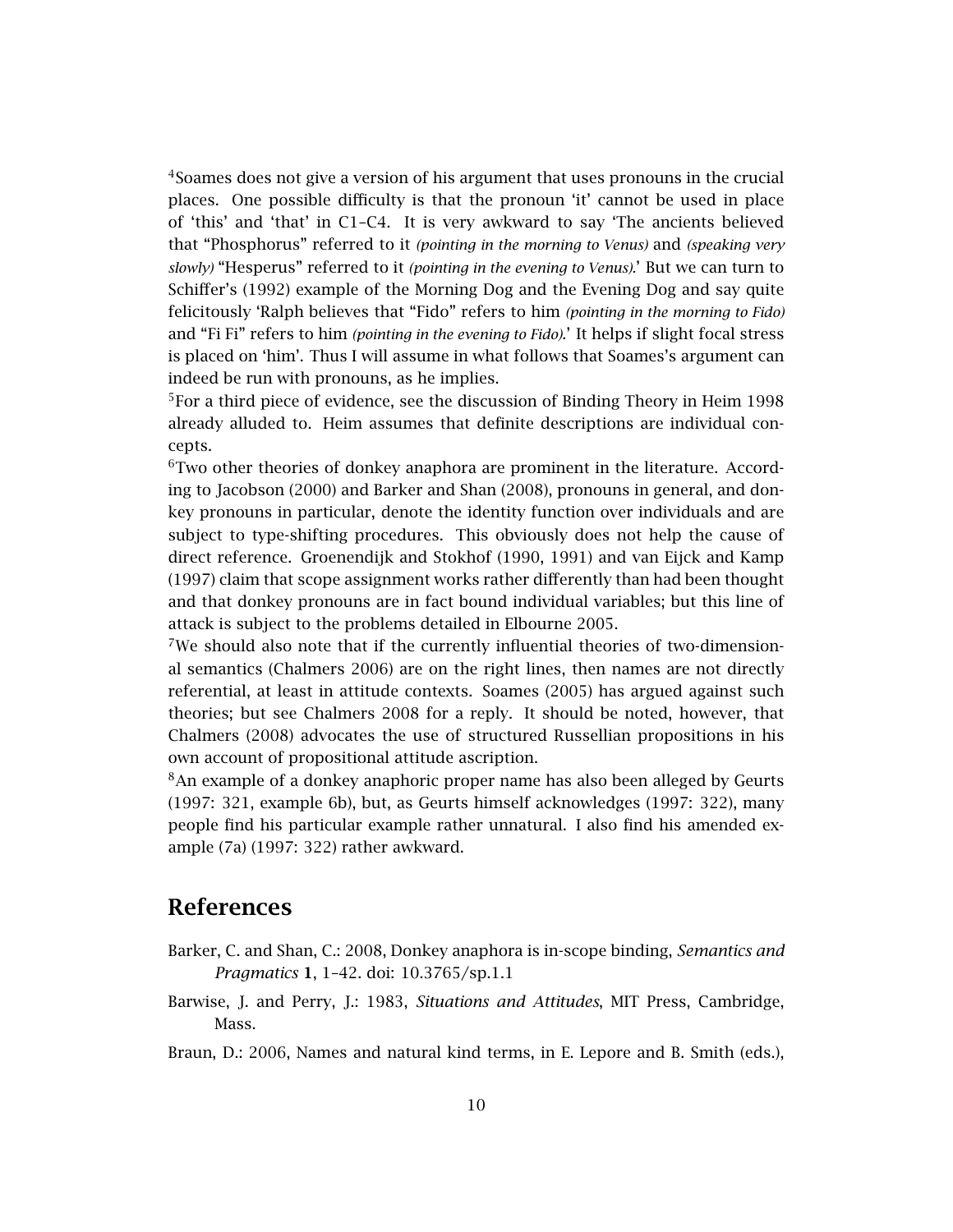<sup>4</sup>Soames does not give a version of his argument that uses pronouns in the crucial places. One possible difficulty is that the pronoun 'it' cannot be used in place of 'this' and 'that' in C1–C4. It is very awkward to say 'The ancients believed that "Phosphorus" referred to it *(pointing in the morning to Venus)* and *(speaking very slowly)* "Hesperus" referred to it *(pointing in the evening to Venus).*' But we can turn to Schiffer's (1992) example of the Morning Dog and the Evening Dog and say quite felicitously 'Ralph believes that "Fido" refers to him *(pointing in the morning to Fido)* and "Fi Fi" refers to him *(pointing in the evening to Fido)*.' It helps if slight focal stress is placed on 'him'. Thus I will assume in what follows that Soames's argument can indeed be run with pronouns, as he implies.

<sup>5</sup>For a third piece of evidence, see the discussion of Binding Theory in Heim 1998 already alluded to. Heim assumes that definite descriptions are individual concepts.

 $6$ Two other theories of donkey anaphora are prominent in the literature. According to Jacobson (2000) and Barker and Shan (2008), pronouns in general, and donkey pronouns in particular, denote the identity function over individuals and are subject to type-shifting procedures. This obviously does not help the cause of direct reference. Groenendijk and Stokhof (1990, 1991) and van Eijck and Kamp (1997) claim that scope assignment works rather differently than had been thought and that donkey pronouns are in fact bound individual variables; but this line of attack is subject to the problems detailed in Elbourne 2005.

<sup>7</sup>We should also note that if the currently influential theories of two-dimensional semantics (Chalmers 2006) are on the right lines, then names are not directly referential, at least in attitude contexts. Soames (2005) has argued against such theories; but see Chalmers 2008 for a reply. It should be noted, however, that Chalmers (2008) advocates the use of structured Russellian propositions in his own account of propositional attitude ascription.

<sup>8</sup>An example of a donkey anaphoric proper name has also been alleged by Geurts (1997: 321, example 6b), but, as Geurts himself acknowledges (1997: 322), many people find his particular example rather unnatural. I also find his amended example (7a) (1997: 322) rather awkward.

### References

- Barker, C. and Shan, C.: 2008, Donkey anaphora is in-scope binding, *Semantics and Pragmatics* 1, 1–42. doi: 10.3765/sp.1.1
- Barwise, J. and Perry, J.: 1983, *Situations and Attitudes*, MIT Press, Cambridge, Mass.
- Braun, D.: 2006, Names and natural kind terms, in E. Lepore and B. Smith (eds.),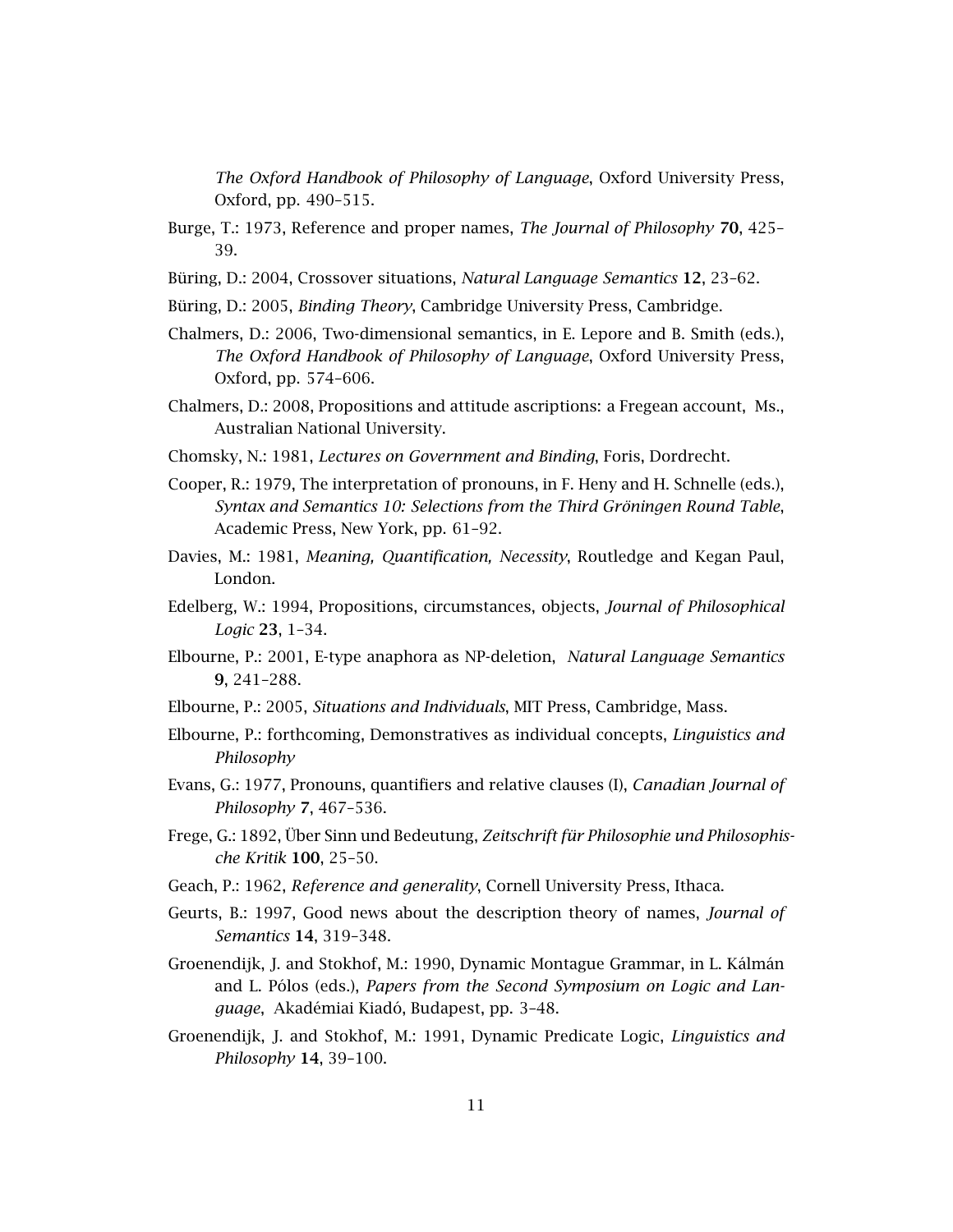*The Oxford Handbook of Philosophy of Language*, Oxford University Press, Oxford, pp. 490–515.

- Burge, T.: 1973, Reference and proper names, *The Journal of Philosophy* 70, 425– 39.
- Büring, D.: 2004, Crossover situations, *Natural Language Semantics* 12, 23–62.
- Büring, D.: 2005, *Binding Theory*, Cambridge University Press, Cambridge.
- Chalmers, D.: 2006, Two-dimensional semantics, in E. Lepore and B. Smith (eds.), *The Oxford Handbook of Philosophy of Language*, Oxford University Press, Oxford, pp. 574–606.
- Chalmers, D.: 2008, Propositions and attitude ascriptions: a Fregean account, Ms., Australian National University.
- Chomsky, N.: 1981, *Lectures on Government and Binding*, Foris, Dordrecht.
- Cooper, R.: 1979, The interpretation of pronouns, in F. Heny and H. Schnelle (eds.), *Syntax and Semantics 10: Selections from the Third Gröningen Round Table*, Academic Press, New York, pp. 61–92.
- Davies, M.: 1981, *Meaning, Quantification, Necessity*, Routledge and Kegan Paul, London.
- Edelberg, W.: 1994, Propositions, circumstances, objects, *Journal of Philosophical Logic* 23, 1–34.
- Elbourne, P.: 2001, E-type anaphora as NP-deletion, *Natural Language Semantics* 9, 241–288.
- Elbourne, P.: 2005, *Situations and Individuals*, MIT Press, Cambridge, Mass.
- Elbourne, P.: forthcoming, Demonstratives as individual concepts, *Linguistics and Philosophy*
- Evans, G.: 1977, Pronouns, quantifiers and relative clauses (I), *Canadian Journal of Philosophy* 7, 467–536.
- Frege, G.: 1892, Über Sinn und Bedeutung, *Zeitschrift für Philosophie und Philosophische Kritik* 100, 25–50.
- Geach, P.: 1962, *Reference and generality*, Cornell University Press, Ithaca.
- Geurts, B.: 1997, Good news about the description theory of names, *Journal of Semantics* 14, 319–348.
- Groenendijk, J. and Stokhof, M.: 1990, Dynamic Montague Grammar, in L. Kálmán and L. Pólos (eds.), *Papers from the Second Symposium on Logic and Language*, Akadémiai Kiadó, Budapest, pp. 3–48.
- Groenendijk, J. and Stokhof, M.: 1991, Dynamic Predicate Logic, *Linguistics and Philosophy* 14, 39–100.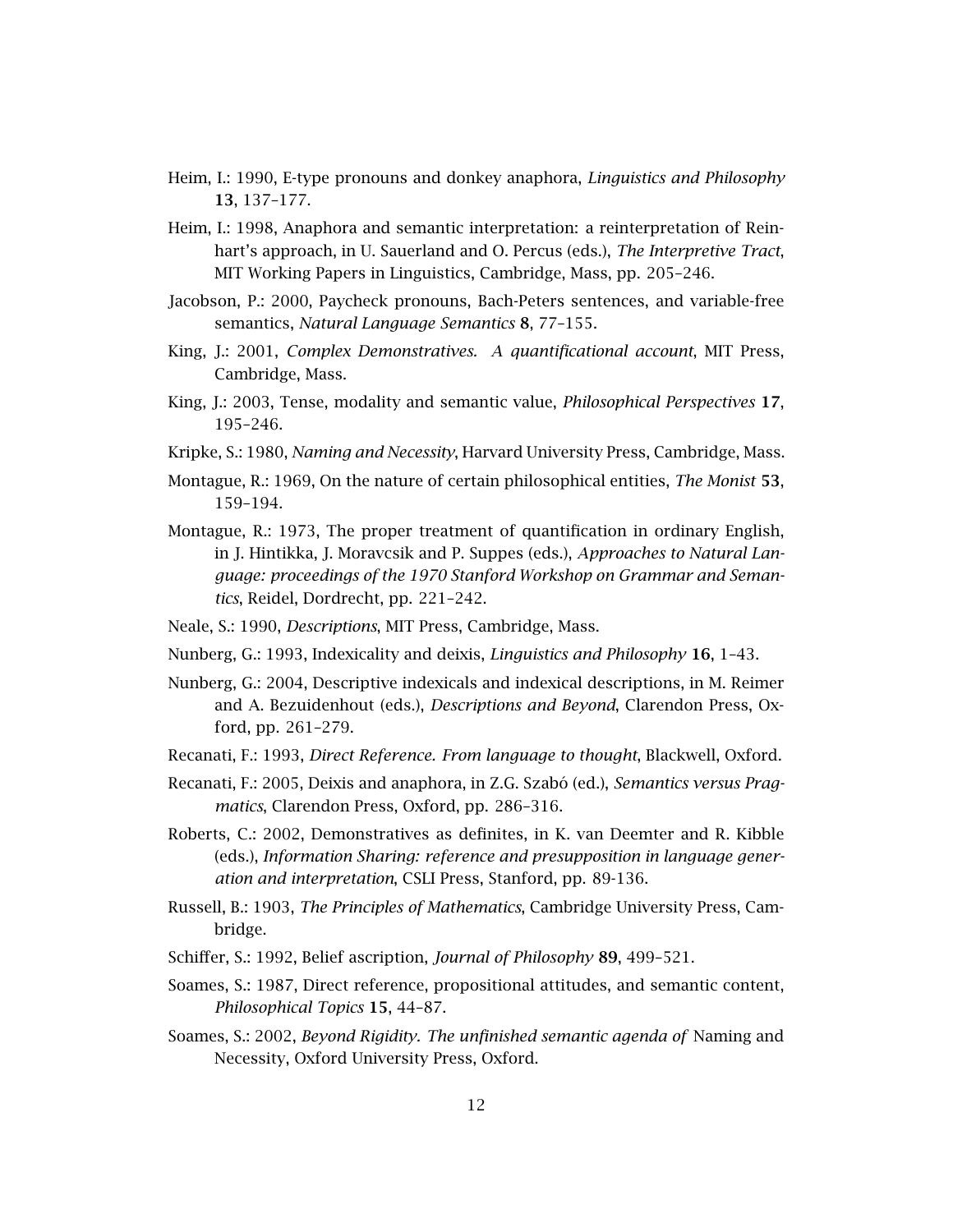- Heim, I.: 1990, E-type pronouns and donkey anaphora, *Linguistics and Philosophy* 13, 137–177.
- Heim, I.: 1998, Anaphora and semantic interpretation: a reinterpretation of Reinhart's approach, in U. Sauerland and O. Percus (eds.), *The Interpretive Tract*, MIT Working Papers in Linguistics, Cambridge, Mass, pp. 205–246.
- Jacobson, P.: 2000, Paycheck pronouns, Bach-Peters sentences, and variable-free semantics, *Natural Language Semantics* 8, 77–155.
- King, J.: 2001, *Complex Demonstratives. A quantificational account*, MIT Press, Cambridge, Mass.
- King, J.: 2003, Tense, modality and semantic value, *Philosophical Perspectives* 17, 195–246.
- Kripke, S.: 1980, *Naming and Necessity*, Harvard University Press, Cambridge, Mass.
- Montague, R.: 1969, On the nature of certain philosophical entities, *The Monist* 53, 159–194.
- Montague, R.: 1973, The proper treatment of quantification in ordinary English, in J. Hintikka, J. Moravcsik and P. Suppes (eds.), *Approaches to Natural Language: proceedings of the 1970 Stanford Workshop on Grammar and Semantics*, Reidel, Dordrecht, pp. 221–242.
- Neale, S.: 1990, *Descriptions*, MIT Press, Cambridge, Mass.
- Nunberg, G.: 1993, Indexicality and deixis, *Linguistics and Philosophy* 16, 1–43.
- Nunberg, G.: 2004, Descriptive indexicals and indexical descriptions, in M. Reimer and A. Bezuidenhout (eds.), *Descriptions and Beyond*, Clarendon Press, Oxford, pp. 261–279.
- Recanati, F.: 1993, *Direct Reference. From language to thought*, Blackwell, Oxford.
- Recanati, F.: 2005, Deixis and anaphora, in Z.G. Szabó (ed.), *Semantics versus Pragmatics*, Clarendon Press, Oxford, pp. 286–316.
- Roberts, C.: 2002, Demonstratives as definites, in K. van Deemter and R. Kibble (eds.), *Information Sharing: reference and presupposition in language generation and interpretation*, CSLI Press, Stanford, pp. 89-136.
- Russell, B.: 1903, *The Principles of Mathematics*, Cambridge University Press, Cambridge.
- Schiffer, S.: 1992, Belief ascription, *Journal of Philosophy* 89, 499–521.
- Soames, S.: 1987, Direct reference, propositional attitudes, and semantic content, *Philosophical Topics* 15, 44–87.
- Soames, S.: 2002, *Beyond Rigidity. The unfinished semantic agenda of* Naming and Necessity, Oxford University Press, Oxford.